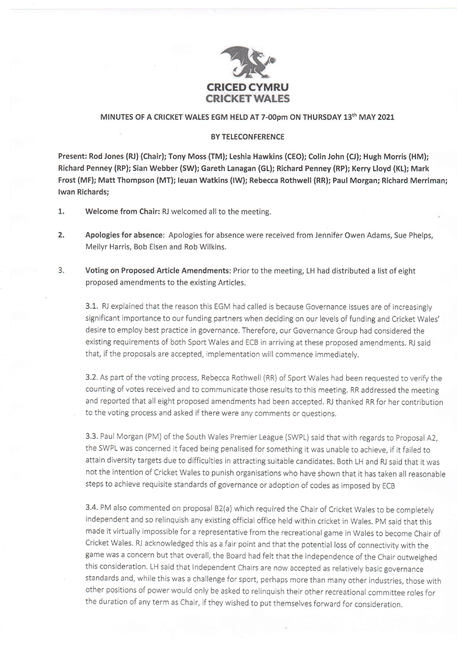

## MINUTES OF A CRICKET WALES EGM HELD AT 7-00pm ON THURSDAY 13th MAY 2021

## BY TELECONFERENCE

Present: Rod Jones (RJ) (Chair); Tony Moss (TM); Leshia Hawkins (CEO); Colin John (CJ); Hugh Moris (HM); Richard Penney (RP); Sian Webber (SW); Gareth Lanagan (GL); Richard Penney (RP); Kerry Lloyd (KL); Mark Frost (MF); Matt Thompson (MT); leuan Watkins (lW); Rebecca Rothwell (RR); Paul Morgan; Richard Merriman; lwan Richards;

- 1. Welcome from Chair: RJ welcomed all to the meeting.
- 2. Apologies for absence: Apologies for absence were received from Jennifer Owen Adams, Sue Phelps, Meilyr Harris, Bob Elsen and Rob Wilkins.
- 3. Voting on Proposed Article Amendments: Prior to the meeting, LH had distributed a list of eight proposed amendments to the existing Articles.

3.1. RJ explained that the reason this EGM had called is because Governance issues are of increasingly significant importance to our funding partners when deciding on our levels of funding and Cricket Wales' desire to employ best practice in governance. Therefore, our Governance Group had considered the existing requirements of both Sport Wales and ECB in arriving at these proposed amendments. RJ said that, if the proposals are accepted, implementation will commence immediatelv.

3.2. As part of the voting process, Rebecca Rothwell (RR) of Sport Wales had been requested to verify the counting of votes received and to communicate those results to this meeting. RR addressed the meeting and reported that all eight proposed amendments had been accepted. RJ thanked RR for her contribution to the voting process and asked if there were any comments or questions.

3.3. Paul Morgan (PM) of the South Wales Premier League (SWPL) said that with regards to Proposal 42, the SWPL was concerned it faced being penalised for something it was unable to achieve, if it failed to attain diversity targets due to difficulties in attracting suitable candidates. Both LH and RJ said that it was not the intention of Cricket Wales to punish organisations who have shown that it has taken all reasonable steps to achieve requisite standards of governance or adoption of codes as imposed bv ECB

3.4. PM also commented on proposal B2(a) which required the Chair of Cricket Wales to be completely independent and so relinquish any existing official office held within cricket in Wales. pM said that this made it virtually impossible for a representative from the recreational game in Wales to become Chair of Cricket Wales. RJ acknowledged this as a fair point and that the potential loss of connectivity with the game was a concern but that overall, the Board had felt that the independence of the Chair outweighed this consideration. LH said that Independent Chairs are now accepted as relatively basic governance standards and, while this was a challenge for sport, perhaps more than many other industries, those with other positions of power would only be asked to relinquish their other recreational committee roles for the duration of any term as Chair, if they wished to put themselves forward for consideration.